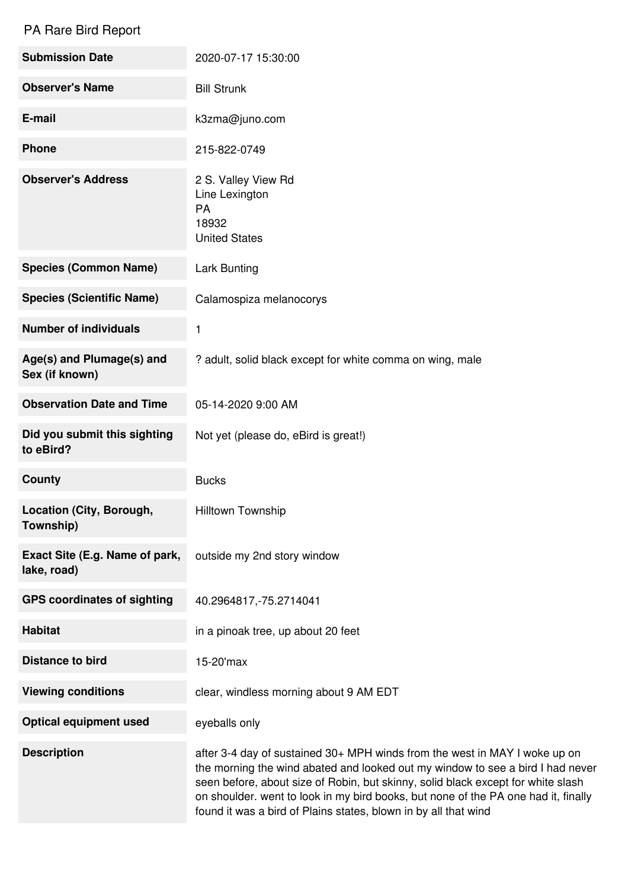## PA Rare Bird Report

| <b>Submission Date</b>                        | 2020-07-17 15:30:00                                                                                                                                                                                                                                                                                                                                                                                       |
|-----------------------------------------------|-----------------------------------------------------------------------------------------------------------------------------------------------------------------------------------------------------------------------------------------------------------------------------------------------------------------------------------------------------------------------------------------------------------|
| <b>Observer's Name</b>                        | <b>Bill Strunk</b>                                                                                                                                                                                                                                                                                                                                                                                        |
| E-mail                                        | k3zma@juno.com                                                                                                                                                                                                                                                                                                                                                                                            |
| <b>Phone</b>                                  | 215-822-0749                                                                                                                                                                                                                                                                                                                                                                                              |
| <b>Observer's Address</b>                     | 2 S. Valley View Rd<br>Line Lexington<br><b>PA</b><br>18932<br><b>United States</b>                                                                                                                                                                                                                                                                                                                       |
| <b>Species (Common Name)</b>                  | <b>Lark Bunting</b>                                                                                                                                                                                                                                                                                                                                                                                       |
| <b>Species (Scientific Name)</b>              | Calamospiza melanocorys                                                                                                                                                                                                                                                                                                                                                                                   |
| <b>Number of individuals</b>                  | 1                                                                                                                                                                                                                                                                                                                                                                                                         |
| Age(s) and Plumage(s) and<br>Sex (if known)   | ? adult, solid black except for white comma on wing, male                                                                                                                                                                                                                                                                                                                                                 |
| <b>Observation Date and Time</b>              | 05-14-2020 9:00 AM                                                                                                                                                                                                                                                                                                                                                                                        |
| Did you submit this sighting<br>to eBird?     | Not yet (please do, eBird is great!)                                                                                                                                                                                                                                                                                                                                                                      |
| <b>County</b>                                 | <b>Bucks</b>                                                                                                                                                                                                                                                                                                                                                                                              |
| Location (City, Borough,<br>Township)         | Hilltown Township                                                                                                                                                                                                                                                                                                                                                                                         |
| Exact Site (E.g. Name of park,<br>lake, road) | outside my 2nd story window                                                                                                                                                                                                                                                                                                                                                                               |
| <b>GPS coordinates of sighting</b>            | 40.2964817, -75.2714041                                                                                                                                                                                                                                                                                                                                                                                   |
| <b>Habitat</b>                                | in a pinoak tree, up about 20 feet                                                                                                                                                                                                                                                                                                                                                                        |
| <b>Distance to bird</b>                       | 15-20'max                                                                                                                                                                                                                                                                                                                                                                                                 |
| <b>Viewing conditions</b>                     | clear, windless morning about 9 AM EDT                                                                                                                                                                                                                                                                                                                                                                    |
| <b>Optical equipment used</b>                 | eyeballs only                                                                                                                                                                                                                                                                                                                                                                                             |
| <b>Description</b>                            | after 3-4 day of sustained 30+ MPH winds from the west in MAY I woke up on<br>the morning the wind abated and looked out my window to see a bird I had never<br>seen before, about size of Robin, but skinny, solid black except for white slash<br>on shoulder. went to look in my bird books, but none of the PA one had it, finally<br>found it was a bird of Plains states, blown in by all that wind |